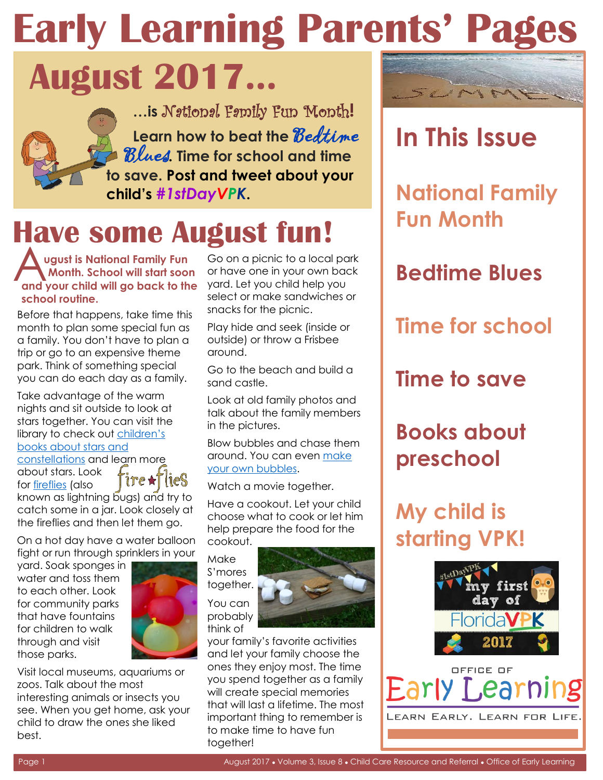# **Early Learning Parents' Pages**

## **August 2017…**

**…is** National Family Fun Month**!** Learn how to beat the **Bedtime** Blues**. Time for school and time to save. Post and tweet about your child's** *#1stDayVPK***.**

## **Have some August fun!**

**A**<br> **A and your child will go back to the** yard. Let you child help you **ugust is National Family Fun** Go on a picnic to a local park **Month. School will start soon** or have one in your own back

Before that happens, take time this month to plan some special fun as Play hide and seek (inside or a family. You don't have to plan a outside) or throw a Frisbee trip or go to an expensive theme around. park. Think of something special Go to the beach and build a you can do each day as a family.  $\frac{3}{5}$  sand castle.

Take advantage of the warm<br>
rights and sit outside to look at the know the family members stars together. You can visit the  $\frac{m}{n}$  the pictures. library to check out children's

about stars. Look  $\int \text{if } r \in \mathcal{A}$  fixe  $\text{if } s \in \mathcal{A}$ 

for <u>fireflies</u> (also  $\int \mathbf{U} \cdot \mathbf{X} \cdot \mathbf{U} \cdot \mathbf{X}$  Watch a movie together.<br>
known as lightning bugs) and try to known as lightning bugs) and try to Have a cookout. Let your child catch some in a jar. Look closely at choose what to cook or let him the fireflies and then let them go. help prepare the food for the

On a hot day have a water balloon cookout.

fight or run through sprinklers in your<br>yard. Soak sponges in S'mores<br>water and toss them to each other. Look<br>together. for community parks **You can** that have fountains  $\blacksquare$  probably for children to walk think of



Visit local museums, aquariums or<br>
zoos. Talk about the most<br>
interesting animals or insects you<br>
see. When you get home, ask your<br>
child to draw the ones she liked<br>
best.<br>
to make time to have fun<br>
together!

**school routine.** Select or make sandwiches or<br> **shoot** that because the time this spacks for the picnic.

talk about the family members

<u>books about stars and</u><br>constellations and learn more around. You can even make [constellations](http://www.giftofcuriosity.com/11-childrens-books-about-stars-and-constellations/) and learn more around. You can example constellations and learn more and around. You can example



through and visit **With an activities** your family's favorite activities those parks. **All the set of the set of the set of the set of the set of the set of the set of the set of the set of the set of the set of the set of the set of the set of the set of the set of the set of the set of the se** 



### **In This Issue**

**National Family Fun Month** 

#### **Bedtime Blues**

**Time for school** 

**Time to save** 

#### **Books about preschool**

#### **My child is starting VPK!**



LEARN EARLY. LEARN FOR LIFE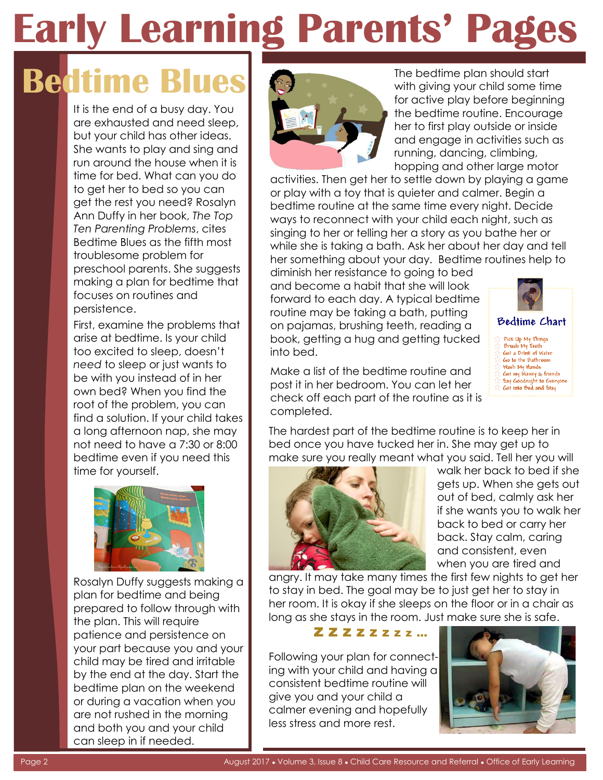# **Early Learning Parents' Pages**

## **Bedtime**

It is the end of a busy day. You are exhausted and need sleep, but your child has other ideas. She wants to play and sing and run around the house when it is time for bed. What can you do to get her to bed so you can get the rest you need? Rosalyn Ann Duffy in her book, *The Top Ten Parenting Problems*, cites Bedtime Blues as the fifth most troublesome problem for preschool parents. She suggests making a plan for bedtime that focuses on routines and persistence.

First, examine the problems that arise at bedtime. Is your child too excited to sleep, doesn't *need* to sleep or just wants to be with you instead of in her own bed? When you find the root of the problem, you can find a solution. If your child takes a long afternoon nap, she may not need to have a 7:30 or 8:00 bedtime even if you need this time for yourself.



Rosalyn Duffy suggests making a plan for bedtime and being prepared to follow through with the plan. This will require patience and persistence on your part because you and your child may be tired and irritable by the end at the day. Start the bedtime plan on the weekend or during a vacation when you are not rushed in the morning and both you and your child can sleep in if needed.



The bedtime plan should start with giving your child some time for active play before beginning the bedtime routine. Encourage her to first play outside or inside and engage in activities such as running, dancing, climbing, hopping and other large motor

activities. Then get her to settle down by playing a game or play with a toy that is quieter and calmer. Begin a bedtime routine at the same time every night. Decide ways to reconnect with your child each night, such as singing to her or telling her a story as you bathe her or while she is taking a bath. Ask her about her day and tell her something about your day. Bedtime routines help to

diminish her resistance to going to bed and become a habit that she will look forward to each day. A typical bedtime routine may be taking a bath, putting on pajamas, brushing teeth, reading a book, getting a hug and getting tucked into bed.



Make a list of the bedtime routine and post it in her bedroom. You can let her check off each part of the routine as it is completed.

The hardest part of the bedtime routine is to keep her in bed once you have tucked her in. She may get up to make sure you really meant what you said. Tell her you will



walk her back to bed if she gets up. When she gets out out of bed, calmly ask her if she wants you to walk her back to bed or carry her back. Stay calm, caring and consistent, even when you are tired and

angry. It may take many times the first few nights to get her to stay in bed. The goal may be to just get her to stay in her room. It is okay if she sleeps on the floor or in a chair as long as she stays in the room. Just make sure she is safe.



Following your plan for connecting with your child and having a consistent bedtime routine will give you and your child a calmer evening and hopefully less stress and more rest.

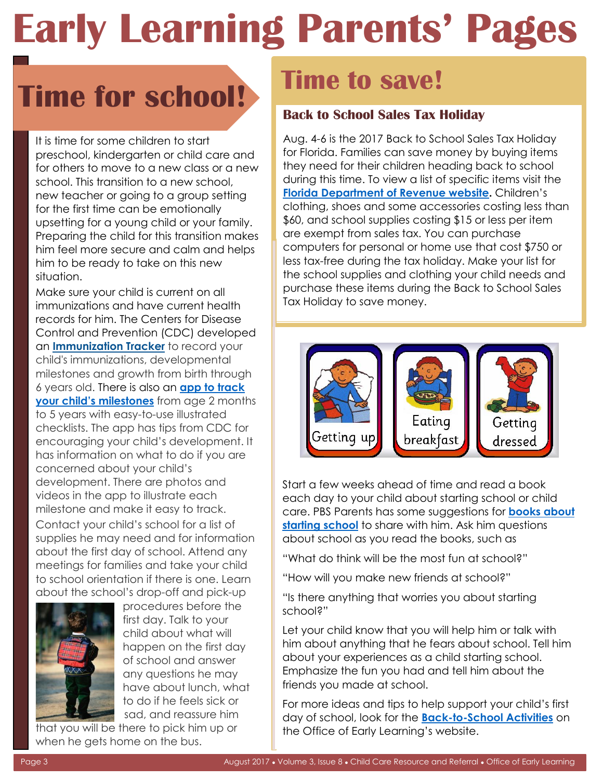## *<u>Early Learning Parents' Page</u>*

## **Time for school!**

It is time for some children to start preschool, kindergarten or child care and for others to move to a new class or a new school. This transition to a new school, new teacher or going to a group setting for the first time can be emotionally upsetting for a young child or your family. Preparing the child for this transition makes him feel more secure and calm and helps him to be ready to take on this new situation.

Make sure your child is current on all immunizations and have current health records for him. The Centers for Disease Control and Prevention (CDC) developed an **Immunization Tracker** to record your child's immunizations, developmental milestones and growth from birth through 6 years old. There is also an **[app to track](https://www.cdc.gov/ncbddd/actearly/milestones-app.html)  [your child's milestones](https://www.cdc.gov/ncbddd/actearly/milestones-app.html)** from age 2 months to 5 years with easy-to-use illustrated checklists. The app has tips from CDC for encouraging your child's development. It has information on what to do if you are concerned about your child's development. There are photos and videos in the app to illustrate each milestone and make it easy to track.

Contact your child's school for a list of supplies he may need and for information about the first day of school. Attend any meetings for families and take your child to school orientation if there is one. Learn about the school's drop-off and pick-up



 procedures before the first day. Talk to your child about what will happen on the first day of school and answer any questions he may have about lunch, what to do if he feels sick or sad, and reassure him

that you will be there to pick him up or when he gets home on the bus.

### **Time to save!**

#### **Back to School Sales Tax Holiday**

Aug. 4-6 is the 2017 Back to School Sales Tax Holiday for Florida. Families can save money by buying items they need for their children heading back to school during this time. To view a list of specific items visit the **[Florida Department of Revenue website.](https://revenuelaw.floridarevenue.com/LawLibraryDocuments/2017/06/TIP-121182_TIP%2017A01-07%20BTS%20RLL.pdf)** Children's clothing, shoes and some accessories costing less than \$60, and school supplies costing \$15 or less per item are exempt from sales tax. You can purchase computers for personal or home use that cost \$750 or less tax-free during the tax holiday. Make your list for the school supplies and clothing your child needs and purchase these items during the Back to School Sales Tax Holiday to save money.



Start a few weeks ahead of time and read a book each day to your child about starting school or child care. PBS Parents has some suggestions for **[books about](http://families.naeyc.org/learning-and-development/music-math-more/13-tips-starting-preschoolhttp:/www.pbs.org/parents/adventures-in-learning/2015/08/school-days/)  [starting school](http://families.naeyc.org/learning-and-development/music-math-more/13-tips-starting-preschoolhttp:/www.pbs.org/parents/adventures-in-learning/2015/08/school-days/)** to share with him. Ask him questions about school as you read the books, such as

"What do think will be the most fun at school?"

"How will you make new friends at school?"

"Is there anything that worries you about starting school?"

Let your child know that you will help him or talk with him about anything that he fears about school. Tell him about your experiences as a child starting school. Emphasize the fun you had and tell him about the friends you made at school.

For more ideas and tips to help support your child's first day of school, look for the **[Back-to-School Activities](http://www.floridaearlylearning.com/parents/parent_resources/back_to_school_2017.aspx)** on the Office of Early Learning's website.